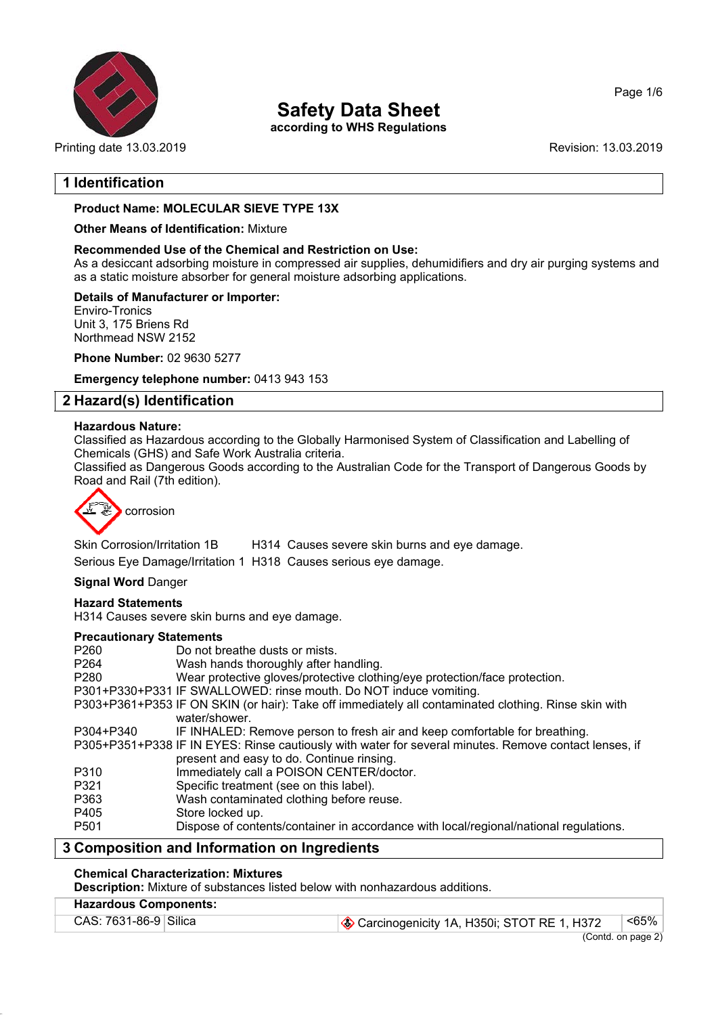

**Safety Data Sheet**

**according to WHS Regulations**

Printing date 13.03.2019 **Revision: 13.03.2019** Revision: 13.03.2019

Page 1/6

## **1 Identification**

## **Product Name: MOLECULAR SIEVE TYPE 13X**

#### **Other Means of Identification:** Mixture

#### **Recommended Use of the Chemical and Restriction on Use:**

As a desiccant adsorbing moisture in compressed air supplies, dehumidifiers and dry air purging systems and as a static moisture absorber for general moisture adsorbing applications.

#### **Details of Manufacturer or Importer:**

Enviro-Tronics Unit 3, 175 Briens Rd Northmead NSW 2152

**Phone Number:** 02 9630 5277

**Emergency telephone number:** 0413 943 153

## **2 Hazard(s) Identification**

#### **Hazardous Nature:**

Classified as Hazardous according to the Globally Harmonised System of Classification and Labelling of Chemicals (GHS) and Safe Work Australia criteria.

Classified as Dangerous Goods according to the Australian Code for the Transport of Dangerous Goods by Road and Rail (7th edition).



Skin Corrosion/Irritation 1B H314 Causes severe skin burns and eye damage. Serious Eye Damage/Irritation 1 H318 Causes serious eye damage.

## **Signal Word** Danger

#### **Hazard Statements**

H314 Causes severe skin burns and eye damage.

#### **Precautionary Statements**

|                  | Composition and Information on Increalizate                                                           |
|------------------|-------------------------------------------------------------------------------------------------------|
| P <sub>501</sub> | Dispose of contents/container in accordance with local/regional/national regulations.                 |
| P405             | Store locked up.                                                                                      |
| P363             | Wash contaminated clothing before reuse.                                                              |
| P321             | Specific treatment (see on this label).                                                               |
| P310             | Immediately call a POISON CENTER/doctor.                                                              |
|                  | present and easy to do. Continue rinsing.                                                             |
|                  | P305+P351+P338 IF IN EYES: Rinse cautiously with water for several minutes. Remove contact lenses, if |
| P304+P340        | IF INHALED: Remove person to fresh air and keep comfortable for breathing.                            |
|                  | water/shower.                                                                                         |
|                  | P303+P361+P353 IF ON SKIN (or hair): Take off immediately all contaminated clothing. Rinse skin with  |
|                  | P301+P330+P331 IF SWALLOWED: rinse mouth. Do NOT induce vomiting.                                     |
| P <sub>280</sub> | Wear protective gloves/protective clothing/eye protection/face protection.                            |
| P <sub>264</sub> | Wash hands thoroughly after handling.                                                                 |
| P260             | Do not breathe dusts or mists.                                                                        |
|                  |                                                                                                       |

## **3 Composition and Information on Ingredients**

#### **Chemical Characterization: Mixtures**

**Description:** Mixture of substances listed below with nonhazardous additions.

## **Hazardous Components:**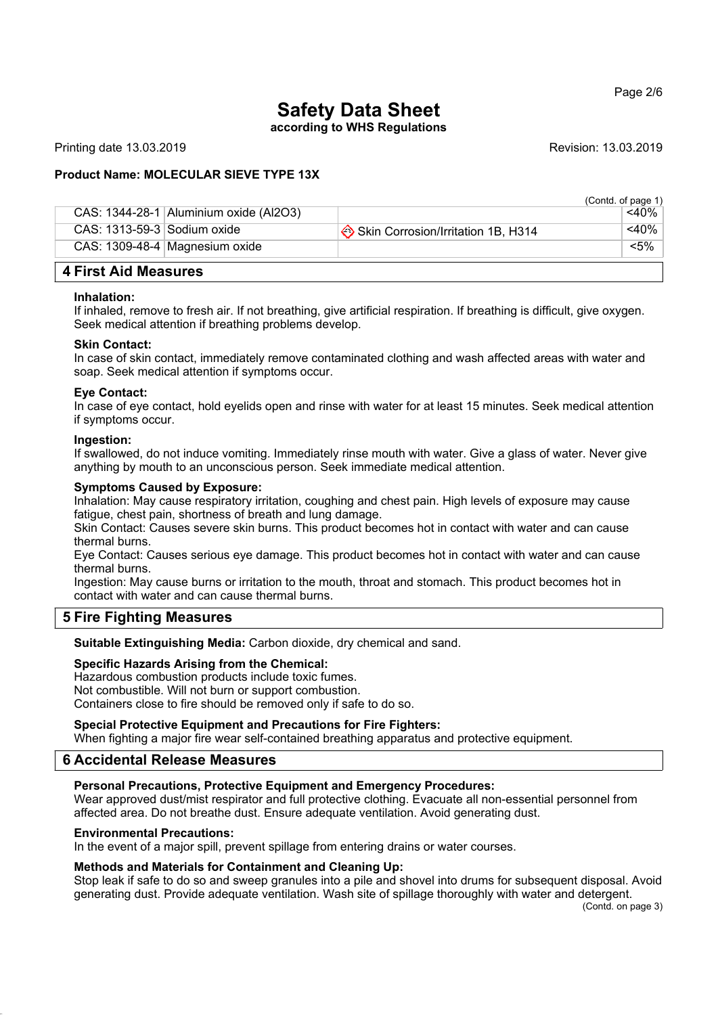## **Safety Data Sheet**

**according to WHS Regulations**

Printing date 13.03.2019 **Revision: 13.03.2019** Revision: 13.03.2019

## **Product Name: MOLECULAR SIEVE TYPE 13X**

|                               |                                          |                                    | (Contd. of page 1) |  |  |
|-------------------------------|------------------------------------------|------------------------------------|--------------------|--|--|
|                               | CAS: $1344-28-1$ Aluminium oxide (Al2O3) |                                    | <40%               |  |  |
| CAS: $1313-59-3$ Sodium oxide |                                          | Skin Corrosion/Irritation 1B, H314 | $<$ 40%            |  |  |
|                               | CAS: 1309-48-4   Magnesium oxide         |                                    | $< 5\%$            |  |  |
| 4 First Aid Measures          |                                          |                                    |                    |  |  |

#### **Inhalation:**

If inhaled, remove to fresh air. If not breathing, give artificial respiration. If breathing is difficult, give oxygen. Seek medical attention if breathing problems develop.

#### **Skin Contact:**

In case of skin contact, immediately remove contaminated clothing and wash affected areas with water and soap. Seek medical attention if symptoms occur.

#### **Eye Contact:**

In case of eye contact, hold eyelids open and rinse with water for at least 15 minutes. Seek medical attention if symptoms occur.

#### **Ingestion:**

If swallowed, do not induce vomiting. Immediately rinse mouth with water. Give a glass of water. Never give anything by mouth to an unconscious person. Seek immediate medical attention.

#### **Symptoms Caused by Exposure:**

Inhalation: May cause respiratory irritation, coughing and chest pain. High levels of exposure may cause fatigue, chest pain, shortness of breath and lung damage.

Skin Contact: Causes severe skin burns. This product becomes hot in contact with water and can cause thermal burns.

Eye Contact: Causes serious eye damage. This product becomes hot in contact with water and can cause thermal burns.

Ingestion: May cause burns or irritation to the mouth, throat and stomach. This product becomes hot in contact with water and can cause thermal burns.

## **5 Fire Fighting Measures**

**Suitable Extinguishing Media:** Carbon dioxide, dry chemical and sand.

#### **Specific Hazards Arising from the Chemical:**

Hazardous combustion products include toxic fumes. Not combustible. Will not burn or support combustion. Containers close to fire should be removed only if safe to do so.

#### **Special Protective Equipment and Precautions for Fire Fighters:**

When fighting a major fire wear self-contained breathing apparatus and protective equipment.

#### **6 Accidental Release Measures**

#### **Personal Precautions, Protective Equipment and Emergency Procedures:**

Wear approved dust/mist respirator and full protective clothing. Evacuate all non-essential personnel from affected area. Do not breathe dust. Ensure adequate ventilation. Avoid generating dust.

#### **Environmental Precautions:**

In the event of a major spill, prevent spillage from entering drains or water courses.

#### **Methods and Materials for Containment and Cleaning Up:**

Stop leak if safe to do so and sweep granules into a pile and shovel into drums for subsequent disposal. Avoid generating dust. Provide adequate ventilation. Wash site of spillage thoroughly with water and detergent.

(Contd. on page 3)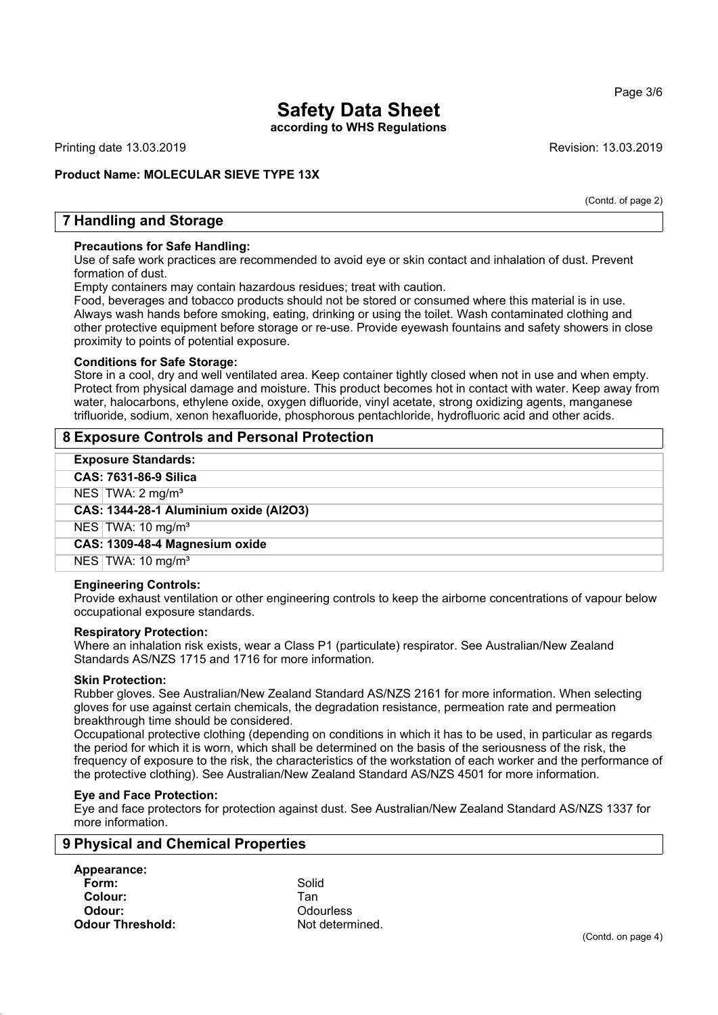## Page 3/6

## **Safety Data Sheet**

**according to WHS Regulations**

Printing date 13.03.2019 Revision: 13.03.2019

## **Product Name: MOLECULAR SIEVE TYPE 13X**

(Contd. of page 2)

## **7 Handling and Storage**

#### **Precautions for Safe Handling:**

Use of safe work practices are recommended to avoid eye or skin contact and inhalation of dust. Prevent formation of dust.

Empty containers may contain hazardous residues; treat with caution.

Food, beverages and tobacco products should not be stored or consumed where this material is in use. Always wash hands before smoking, eating, drinking or using the toilet. Wash contaminated clothing and other protective equipment before storage or re-use. Provide eyewash fountains and safety showers in close proximity to points of potential exposure.

#### **Conditions for Safe Storage:**

Store in a cool, dry and well ventilated area. Keep container tightly closed when not in use and when empty. Protect from physical damage and moisture. This product becomes hot in contact with water. Keep away from water, halocarbons, ethylene oxide, oxygen difluoride, vinyl acetate, strong oxidizing agents, manganese trifluoride, sodium, xenon hexafluoride, phosphorous pentachloride, hydrofluoric acid and other acids.

## **8 Exposure Controls and Personal Protection**

| <b>Exposure Standards:</b>             |  |  |
|----------------------------------------|--|--|
| CAS: 7631-86-9 Silica                  |  |  |
| NES   TWA: $2 \text{ mg/m}^3$          |  |  |
| CAS: 1344-28-1 Aluminium oxide (Al2O3) |  |  |
| NES   TWA: $10 \text{ mg/m}^3$         |  |  |
| CAS: 1309-48-4 Magnesium oxide         |  |  |
| NES   TWA: 10 mg/m <sup>3</sup>        |  |  |

#### **Engineering Controls:**

Provide exhaust ventilation or other engineering controls to keep the airborne concentrations of vapour below occupational exposure standards.

#### **Respiratory Protection:**

Where an inhalation risk exists, wear a Class P1 (particulate) respirator. See Australian/New Zealand Standards AS/NZS 1715 and 1716 for more information.

#### **Skin Protection:**

Rubber gloves. See Australian/New Zealand Standard AS/NZS 2161 for more information. When selecting gloves for use against certain chemicals, the degradation resistance, permeation rate and permeation breakthrough time should be considered.

Occupational protective clothing (depending on conditions in which it has to be used, in particular as regards the period for which it is worn, which shall be determined on the basis of the seriousness of the risk, the frequency of exposure to the risk, the characteristics of the workstation of each worker and the performance of the protective clothing). See Australian/New Zealand Standard AS/NZS 4501 for more information.

#### **Eye and Face Protection:**

Eye and face protectors for protection against dust. See Australian/New Zealand Standard AS/NZS 1337 for more information.

## **9 Physical and Chemical Properties**

| Appearance:             |       |
|-------------------------|-------|
| Form:                   | Solid |
| Colour:                 | Tan   |
| Odour:                  | Odot  |
| <b>Odour Threshold:</b> | Not c |

**Odour:** Odourless Not determined.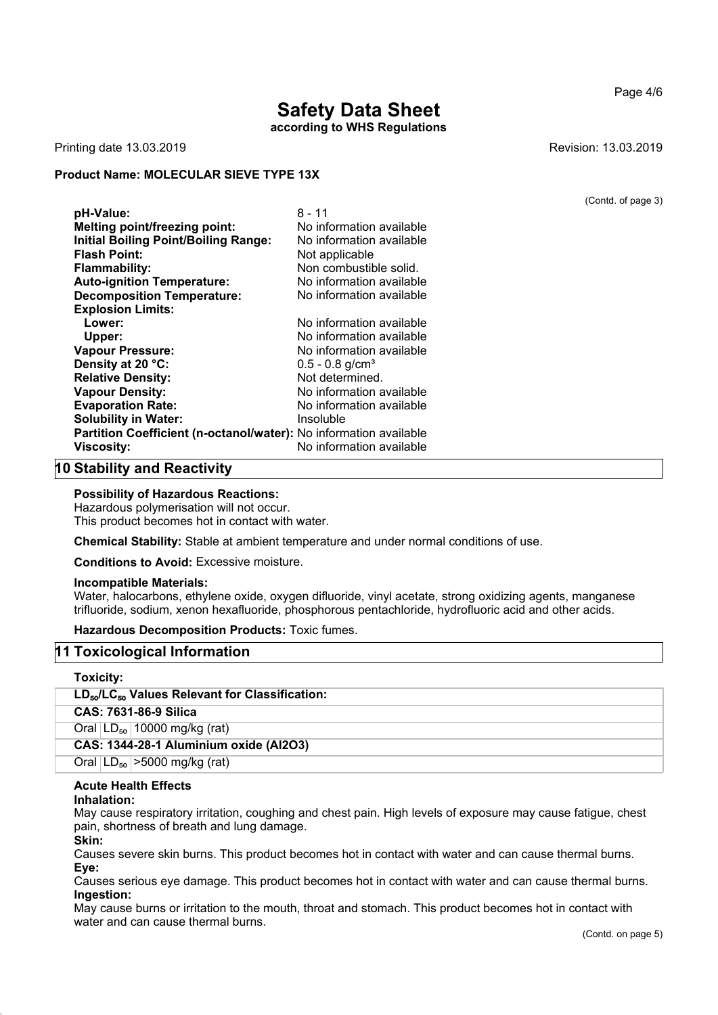## **Safety Data Sheet according to WHS Regulations**

Printing date 13.03.2019 **Revision: 13.03.2019** Revision: 13.03.2019

#### **Product Name: MOLECULAR SIEVE TYPE 13X**

| pH-Value:                                                         | 8 - 11                        |
|-------------------------------------------------------------------|-------------------------------|
| <b>Melting point/freezing point:</b>                              | No information available      |
| <b>Initial Boiling Point/Boiling Range:</b>                       | No information available      |
| <b>Flash Point:</b>                                               | Not applicable                |
| <b>Flammability:</b>                                              | Non combustible solid.        |
| <b>Auto-ignition Temperature:</b>                                 | No information available      |
| <b>Decomposition Temperature:</b>                                 | No information available      |
| <b>Explosion Limits:</b>                                          |                               |
| Lower:                                                            | No information available      |
| Upper:                                                            | No information available      |
| <b>Vapour Pressure:</b>                                           | No information available      |
| Density at 20 °C:                                                 | $0.5 - 0.8$ g/cm <sup>3</sup> |
| <b>Relative Density:</b>                                          | Not determined.               |
| <b>Vapour Density:</b>                                            | No information available      |
| <b>Evaporation Rate:</b>                                          | No information available      |
| <b>Solubility in Water:</b>                                       | Insoluble                     |
| Partition Coefficient (n-octanol/water): No information available |                               |
| <b>Viscosity:</b>                                                 | No information available      |

## **10 Stability and Reactivity**

#### **Possibility of Hazardous Reactions:**

Hazardous polymerisation will not occur. This product becomes hot in contact with water.

**Chemical Stability:** Stable at ambient temperature and under normal conditions of use.

**Conditions to Avoid:** Excessive moisture.

#### **Incompatible Materials:**

Water, halocarbons, ethylene oxide, oxygen difluoride, vinyl acetate, strong oxidizing agents, manganese trifluoride, sodium, xenon hexafluoride, phosphorous pentachloride, hydrofluoric acid and other acids.

## **Hazardous Decomposition Products:** Toxic fumes.

## **11 Toxicological Information**

#### **Toxicity:**

| $LD_{50}/LC_{50}$ Values Relevant for Classification: |  |  |
|-------------------------------------------------------|--|--|
| CAS: 7631-86-9 Silica                                 |  |  |
| Oral $ LD_{50} $ 10000 mg/kg (rat)                    |  |  |
| CAS: 1344-28-1 Aluminium oxide (Al2O3)                |  |  |
| Oral $ LD_{50} $ > 5000 mg/kg (rat)                   |  |  |

## **Acute Health Effects**

#### **Inhalation:**

May cause respiratory irritation, coughing and chest pain. High levels of exposure may cause fatigue, chest pain, shortness of breath and lung damage.

#### **Skin:**

Causes severe skin burns. This product becomes hot in contact with water and can cause thermal burns. **Eye:**

Causes serious eye damage. This product becomes hot in contact with water and can cause thermal burns. **Ingestion:**

May cause burns or irritation to the mouth, throat and stomach. This product becomes hot in contact with water and can cause thermal burns.

(Contd. of page 3)

Page 4/6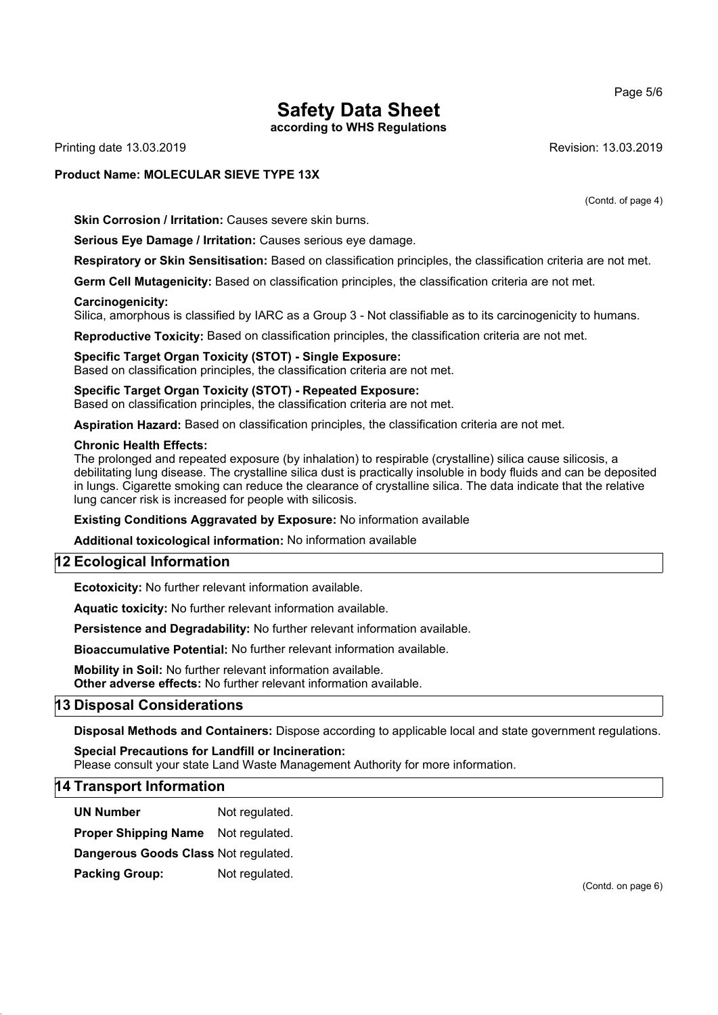Page 5/6

# **Safety Data Sheet**

**according to WHS Regulations**

Printing date 13.03.2019 **Revision: 13.03.2019** Revision: 13.03.2019

## **Product Name: MOLECULAR SIEVE TYPE 13X**

(Contd. of page 4)

**Skin Corrosion / Irritation:** Causes severe skin burns.

**Serious Eye Damage / Irritation:** Causes serious eye damage.

**Respiratory or Skin Sensitisation:** Based on classification principles, the classification criteria are not met.

**Germ Cell Mutagenicity:** Based on classification principles, the classification criteria are not met.

#### **Carcinogenicity:**

Silica, amorphous is classified by IARC as a Group 3 - Not classifiable as to its carcinogenicity to humans.

**Reproductive Toxicity:** Based on classification principles, the classification criteria are not met.

#### **Specific Target Organ Toxicity (STOT) - Single Exposure:** Based on classification principles, the classification criteria are not met.

**Specific Target Organ Toxicity (STOT) - Repeated Exposure:** Based on classification principles, the classification criteria are not met.

**Aspiration Hazard:** Based on classification principles, the classification criteria are not met.

#### **Chronic Health Effects:**

The prolonged and repeated exposure (by inhalation) to respirable (crystalline) silica cause silicosis, a debilitating lung disease. The crystalline silica dust is practically insoluble in body fluids and can be deposited in lungs. Cigarette smoking can reduce the clearance of crystalline silica. The data indicate that the relative lung cancer risk is increased for people with silicosis.

**Existing Conditions Aggravated by Exposure:** No information available

**Additional toxicological information:** No information available

## **12 Ecological Information**

**Ecotoxicity:** No further relevant information available.

**Aquatic toxicity:** No further relevant information available.

**Persistence and Degradability:** No further relevant information available.

**Bioaccumulative Potential:** No further relevant information available.

**Mobility in Soil:** No further relevant information available.

**Other adverse effects:** No further relevant information available.

## **13 Disposal Considerations**

**Disposal Methods and Containers:** Dispose according to applicable local and state government regulations.

## **Special Precautions for Landfill or Incineration:**

Please consult your state Land Waste Management Authority for more information.

#### **14 Transport Information**

**UN Number** Not regulated.

**Proper Shipping Name** Not regulated.

**Dangerous Goods Class** Not regulated.

**Packing Group:** Not regulated.

(Contd. on page 6)